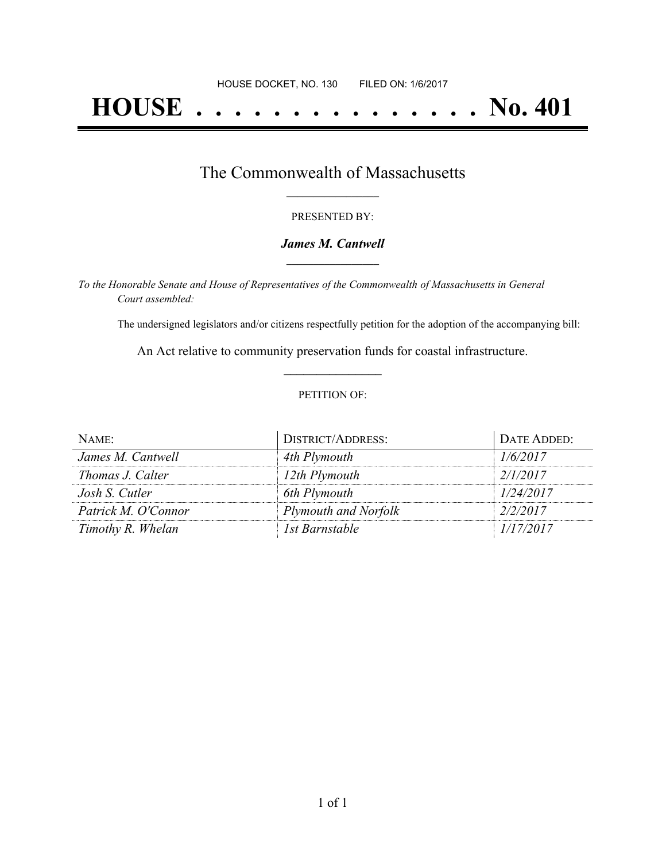# **HOUSE . . . . . . . . . . . . . . . No. 401**

## The Commonwealth of Massachusetts **\_\_\_\_\_\_\_\_\_\_\_\_\_\_\_\_\_**

#### PRESENTED BY:

#### *James M. Cantwell* **\_\_\_\_\_\_\_\_\_\_\_\_\_\_\_\_\_**

*To the Honorable Senate and House of Representatives of the Commonwealth of Massachusetts in General Court assembled:*

The undersigned legislators and/or citizens respectfully petition for the adoption of the accompanying bill:

An Act relative to community preservation funds for coastal infrastructure. **\_\_\_\_\_\_\_\_\_\_\_\_\_\_\_**

#### PETITION OF:

| NAME:               | <b>DISTRICT/ADDRESS:</b> | DATE ADDED: |
|---------------------|--------------------------|-------------|
| James M. Cantwell   | 4th Plymouth             | 1/6/2017    |
| Thomas J. Calter    | 12th Plymouth            | 2/1/2017    |
| Josh S. Cutler      | 6th Plymouth             | 1/24/2017   |
| Patrick M. O'Connor | Plymouth and Norfolk     | 2/2/2017    |
| Timothy R. Whelan   | 1st Barnstable           | 1/17/2017   |